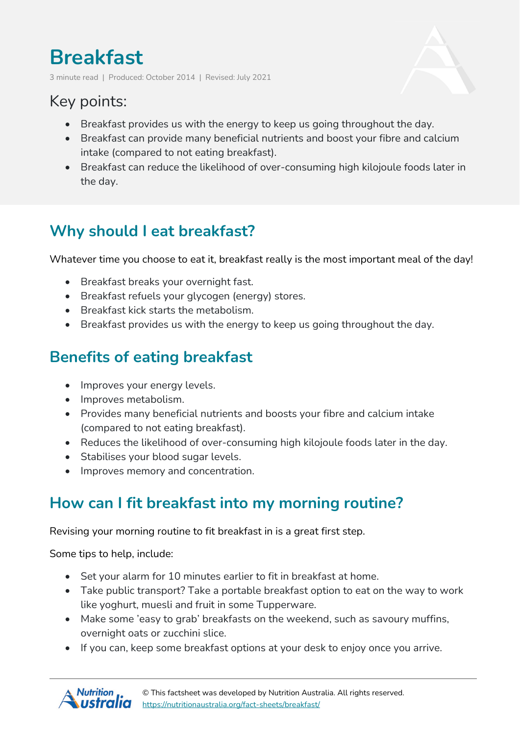# **Breakfast**

3 minute read | Produced: October 2014 | Revised: July 2021

## Key points:

- Breakfast provides us with the energy to keep us going throughout the day.
- Breakfast can provide many beneficial nutrients and boost your fibre and calcium intake (compared to not eating breakfast).
- Breakfast can reduce the likelihood of over-consuming high kilojoule foods later in the day.

## **Why should I eat breakfast?**

Whatever time you choose to eat it, breakfast really is the most important meal of the day!

- Breakfast breaks your overnight fast.
- Breakfast refuels your glycogen (energy) stores.
- Breakfast kick starts the metabolism.
- Breakfast provides us with the energy to keep us going throughout the day.

## **Benefits of eating breakfast**

- Improves your energy levels.
- Improves metabolism.
- Provides many beneficial nutrients and boosts your fibre and calcium intake (compared to not eating breakfast).
- Reduces the likelihood of over-consuming high kilojoule foods later in the day.
- Stabilises your blood sugar levels.
- Improves memory and concentration.

#### **How can I fit breakfast into my morning routine?**

Revising your morning routine to fit breakfast in is a great first step.

Some tips to help, include:

- Set your alarm for 10 minutes earlier to fit in breakfast at home.
- Take public transport? Take a portable breakfast option to eat on the way to work like yoghurt, muesli and fruit in some Tupperware.
- Make some 'easy to grab' breakfasts on the weekend, such as savoury muffins, overnight oats or zucchini slice.
- If you can, keep some breakfast options at your desk to enjoy once you arrive.